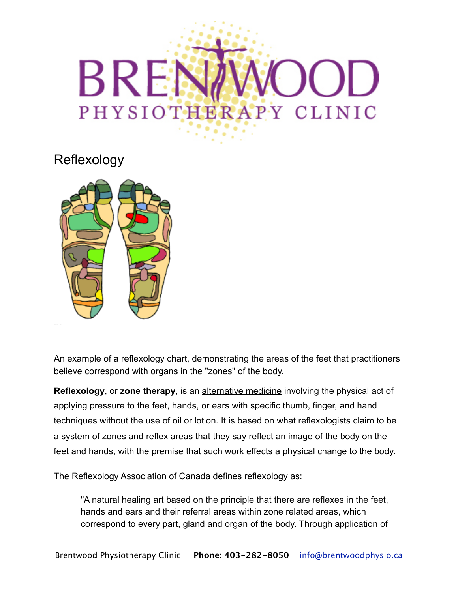## BREN OD PHYSIOTHERAPY CLINIC

Reflexology



An example of a reflexology chart, demonstrating the areas of the feet that practitioners believe correspond with organs in the "zones" of the body.

**Reflexology**, or **zone therapy**, is an [alternative medicine](http://en.wikipedia.org/wiki/Alternative_medicine) involving the physical act of applying pressure to the feet, hands, or ears with specific thumb, finger, and hand techniques without the use of oil or lotion. It is based on what reflexologists claim to be a system of zones and reflex areas that they say reflect an image of the body on the feet and hands, with the premise that such work effects a physical change to the body.

The Reflexology Association of Canada defines reflexology as:

"A natural healing art based on the principle that there are reflexes in the feet, hands and ears and their referral areas within zone related areas, which correspond to every part, gland and organ of the body. Through application of